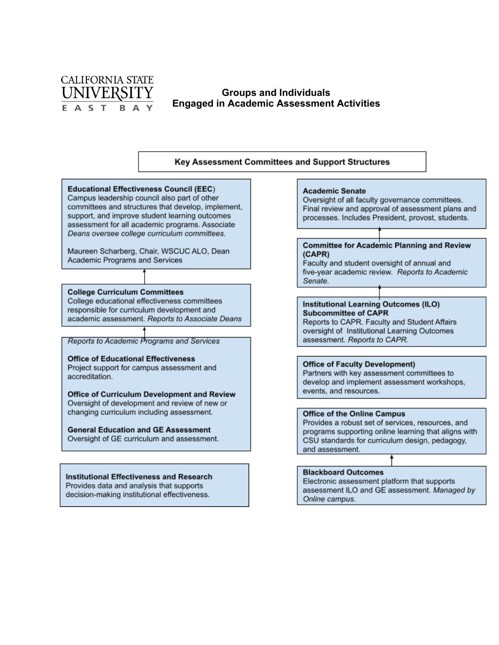

## **Groups and Individuals Engaged in Academic Assessment Activities**